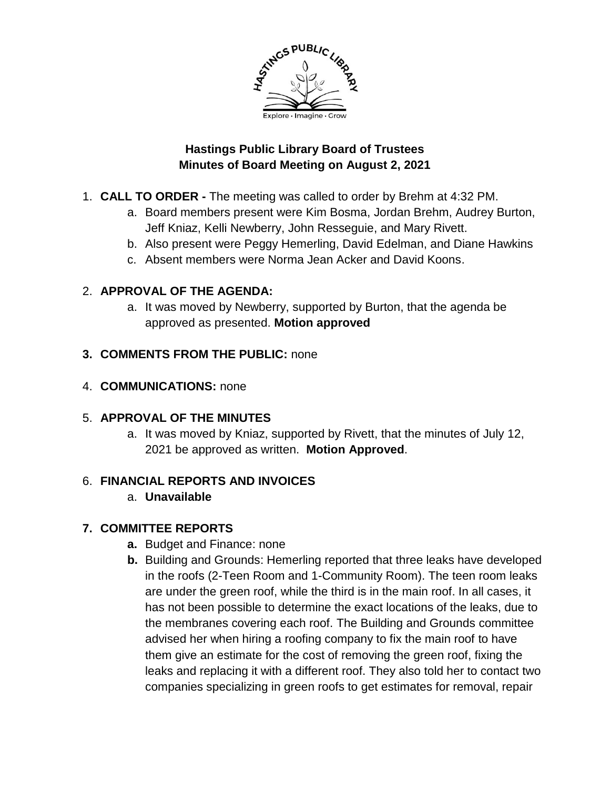

### **Hastings Public Library Board of Trustees Minutes of Board Meeting on August 2, 2021**

- 1. **CALL TO ORDER -** The meeting was called to order by Brehm at 4:32 PM.
	- a. Board members present were Kim Bosma, Jordan Brehm, Audrey Burton, Jeff Kniaz, Kelli Newberry, John Resseguie, and Mary Rivett.
	- b. Also present were Peggy Hemerling, David Edelman, and Diane Hawkins
	- c. Absent members were Norma Jean Acker and David Koons.

## 2. **APPROVAL OF THE AGENDA:**

a. It was moved by Newberry, supported by Burton, that the agenda be approved as presented. **Motion approved**

## **3. COMMENTS FROM THE PUBLIC:** none

### 4. **COMMUNICATIONS:** none

## 5. **APPROVAL OF THE MINUTES**

a. It was moved by Kniaz, supported by Rivett, that the minutes of July 12, 2021 be approved as written. **Motion Approved**.

## 6. **FINANCIAL REPORTS AND INVOICES**

# a. **Unavailable**

# **7. COMMITTEE REPORTS**

- **a.** Budget and Finance: none
- **b.** Building and Grounds: Hemerling reported that three leaks have developed in the roofs (2-Teen Room and 1-Community Room). The teen room leaks are under the green roof, while the third is in the main roof. In all cases, it has not been possible to determine the exact locations of the leaks, due to the membranes covering each roof. The Building and Grounds committee advised her when hiring a roofing company to fix the main roof to have them give an estimate for the cost of removing the green roof, fixing the leaks and replacing it with a different roof. They also told her to contact two companies specializing in green roofs to get estimates for removal, repair